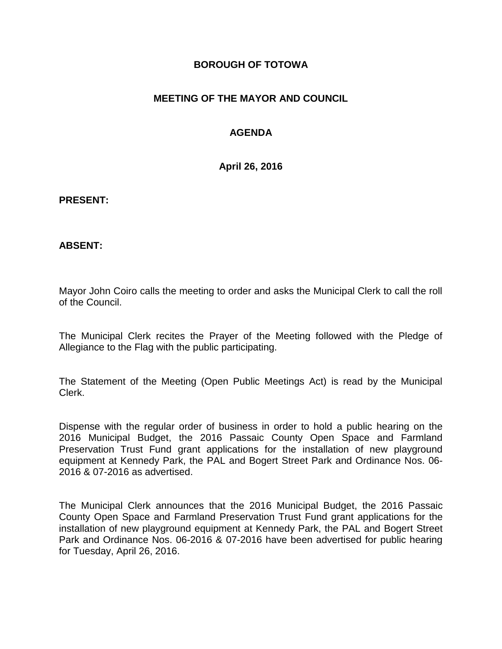### **BOROUGH OF TOTOWA**

## **MEETING OF THE MAYOR AND COUNCIL**

## **AGENDA**

**April 26, 2016**

#### **PRESENT:**

### **ABSENT:**

Mayor John Coiro calls the meeting to order and asks the Municipal Clerk to call the roll of the Council.

The Municipal Clerk recites the Prayer of the Meeting followed with the Pledge of Allegiance to the Flag with the public participating.

The Statement of the Meeting (Open Public Meetings Act) is read by the Municipal Clerk.

Dispense with the regular order of business in order to hold a public hearing on the 2016 Municipal Budget, the 2016 Passaic County Open Space and Farmland Preservation Trust Fund grant applications for the installation of new playground equipment at Kennedy Park, the PAL and Bogert Street Park and Ordinance Nos. 06- 2016 & 07-2016 as advertised.

The Municipal Clerk announces that the 2016 Municipal Budget, the 2016 Passaic County Open Space and Farmland Preservation Trust Fund grant applications for the installation of new playground equipment at Kennedy Park, the PAL and Bogert Street Park and Ordinance Nos. 06-2016 & 07-2016 have been advertised for public hearing for Tuesday, April 26, 2016.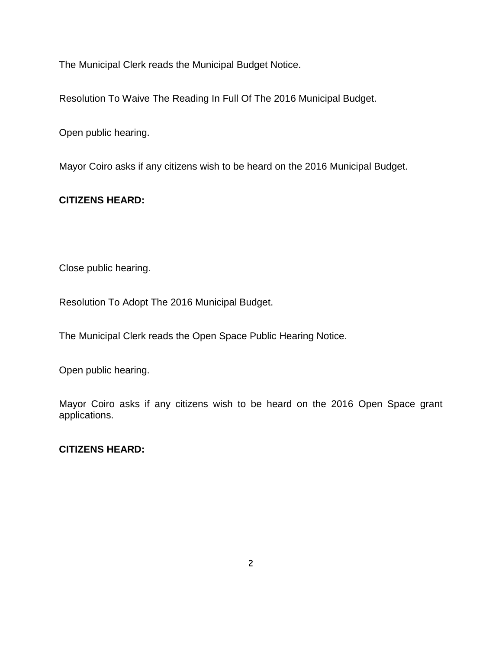The Municipal Clerk reads the Municipal Budget Notice.

Resolution To Waive The Reading In Full Of The 2016 Municipal Budget.

Open public hearing.

Mayor Coiro asks if any citizens wish to be heard on the 2016 Municipal Budget.

# **CITIZENS HEARD:**

Close public hearing.

Resolution To Adopt The 2016 Municipal Budget.

The Municipal Clerk reads the Open Space Public Hearing Notice.

Open public hearing.

Mayor Coiro asks if any citizens wish to be heard on the 2016 Open Space grant applications.

## **CITIZENS HEARD:**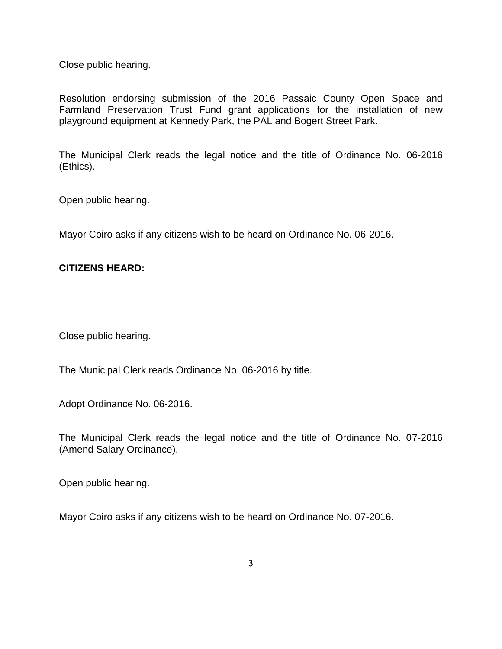Close public hearing.

Resolution endorsing submission of the 2016 Passaic County Open Space and Farmland Preservation Trust Fund grant applications for the installation of new playground equipment at Kennedy Park, the PAL and Bogert Street Park.

The Municipal Clerk reads the legal notice and the title of Ordinance No. 06-2016 (Ethics).

Open public hearing.

Mayor Coiro asks if any citizens wish to be heard on Ordinance No. 06-2016.

## **CITIZENS HEARD:**

Close public hearing.

The Municipal Clerk reads Ordinance No. 06-2016 by title.

Adopt Ordinance No. 06-2016.

The Municipal Clerk reads the legal notice and the title of Ordinance No. 07-2016 (Amend Salary Ordinance).

Open public hearing.

Mayor Coiro asks if any citizens wish to be heard on Ordinance No. 07-2016.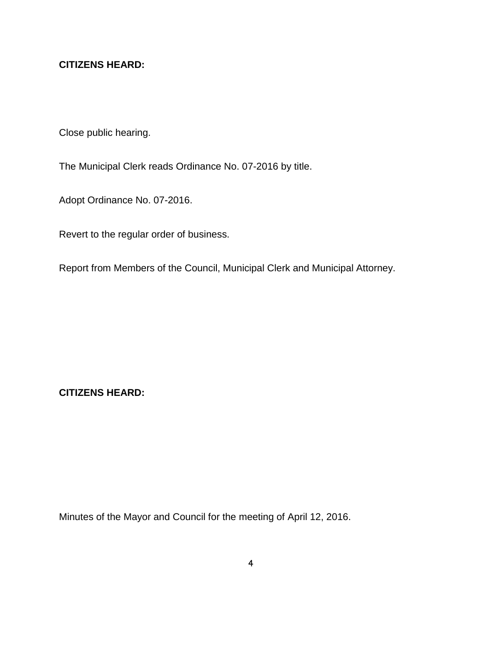## **CITIZENS HEARD:**

Close public hearing.

The Municipal Clerk reads Ordinance No. 07-2016 by title.

Adopt Ordinance No. 07-2016.

Revert to the regular order of business.

Report from Members of the Council, Municipal Clerk and Municipal Attorney.

**CITIZENS HEARD:**

Minutes of the Mayor and Council for the meeting of April 12, 2016.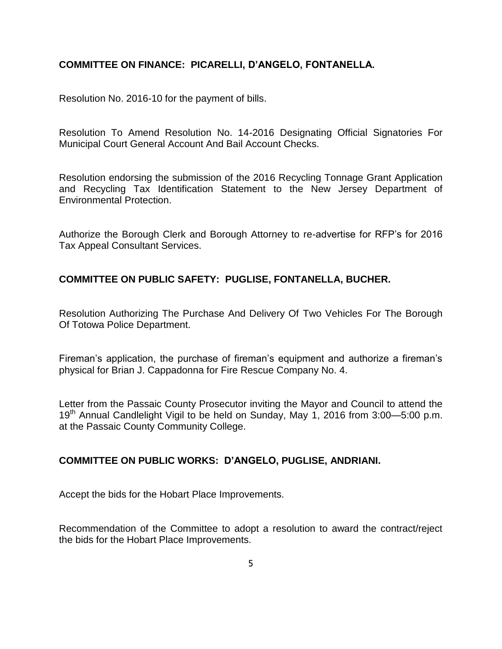## **COMMITTEE ON FINANCE: PICARELLI, D'ANGELO, FONTANELLA.**

Resolution No. 2016-10 for the payment of bills.

Resolution To Amend Resolution No. 14-2016 Designating Official Signatories For Municipal Court General Account And Bail Account Checks.

Resolution endorsing the submission of the 2016 Recycling Tonnage Grant Application and Recycling Tax Identification Statement to the New Jersey Department of Environmental Protection.

Authorize the Borough Clerk and Borough Attorney to re-advertise for RFP's for 2016 Tax Appeal Consultant Services.

## **COMMITTEE ON PUBLIC SAFETY: PUGLISE, FONTANELLA, BUCHER.**

Resolution Authorizing The Purchase And Delivery Of Two Vehicles For The Borough Of Totowa Police Department.

Fireman's application, the purchase of fireman's equipment and authorize a fireman's physical for Brian J. Cappadonna for Fire Rescue Company No. 4.

Letter from the Passaic County Prosecutor inviting the Mayor and Council to attend the 19<sup>th</sup> Annual Candlelight Vigil to be held on Sunday, May 1, 2016 from 3:00-5:00 p.m. at the Passaic County Community College.

### **COMMITTEE ON PUBLIC WORKS: D'ANGELO, PUGLISE, ANDRIANI.**

Accept the bids for the Hobart Place Improvements.

Recommendation of the Committee to adopt a resolution to award the contract/reject the bids for the Hobart Place Improvements.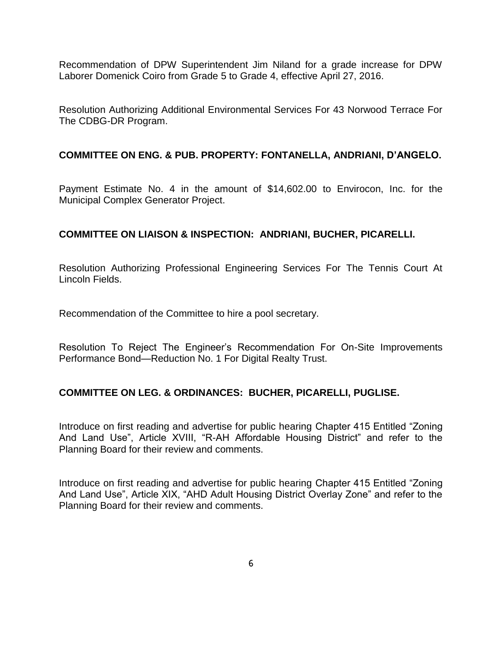Recommendation of DPW Superintendent Jim Niland for a grade increase for DPW Laborer Domenick Coiro from Grade 5 to Grade 4, effective April 27, 2016.

Resolution Authorizing Additional Environmental Services For 43 Norwood Terrace For The CDBG-DR Program.

### **COMMITTEE ON ENG. & PUB. PROPERTY: FONTANELLA, ANDRIANI, D'ANGELO.**

Payment Estimate No. 4 in the amount of \$14,602.00 to Envirocon, Inc. for the Municipal Complex Generator Project.

## **COMMITTEE ON LIAISON & INSPECTION: ANDRIANI, BUCHER, PICARELLI.**

Resolution Authorizing Professional Engineering Services For The Tennis Court At Lincoln Fields.

Recommendation of the Committee to hire a pool secretary.

Resolution To Reject The Engineer's Recommendation For On-Site Improvements Performance Bond—Reduction No. 1 For Digital Realty Trust.

### **COMMITTEE ON LEG. & ORDINANCES: BUCHER, PICARELLI, PUGLISE.**

Introduce on first reading and advertise for public hearing Chapter 415 Entitled "Zoning And Land Use", Article XVIII, "R-AH Affordable Housing District" and refer to the Planning Board for their review and comments.

Introduce on first reading and advertise for public hearing Chapter 415 Entitled "Zoning And Land Use", Article XIX, "AHD Adult Housing District Overlay Zone" and refer to the Planning Board for their review and comments.